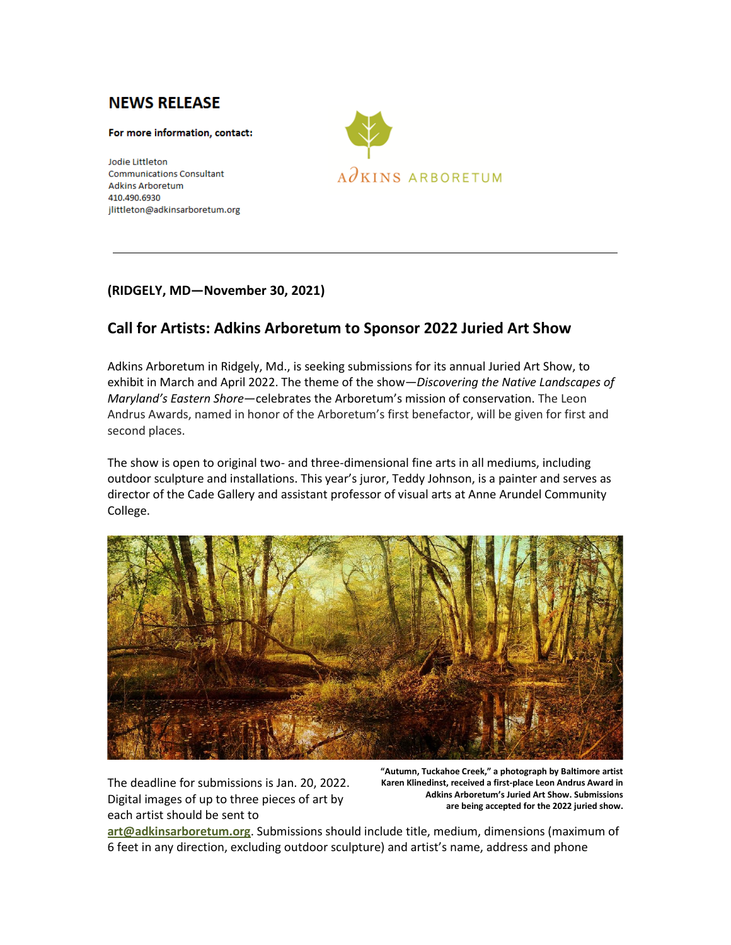## **NEWS RELEASE**

## For more information, contact:

**Jodie Littleton Communications Consultant Adkins Arboretum** 410.490.6930 jlittleton@adkinsarboretum.org



## **(RIDGELY, MD—November 30, 2021)**

## **Call for Artists: Adkins Arboretum to Sponsor 2022 Juried Art Show**

Adkins Arboretum in Ridgely, Md., is seeking submissions for its annual Juried Art Show, to exhibit in March and April 2022. The theme of the show—*Discovering the Native Landscapes of Maryland's Eastern Shore*—celebrates the Arboretum's mission of conservation. The Leon Andrus Awards, named in honor of the Arboretum's first benefactor, will be given for first and second places.

The show is open to original two- and three-dimensional fine arts in all mediums, including outdoor sculpture and installations. This year's juror, Teddy Johnson, is a painter and serves as director of the Cade Gallery and assistant professor of visual arts at Anne Arundel Community College.



The deadline for submissions is Jan. 20, 2022. Digital images of up to three pieces of art by each artist should be sent to

**"Autumn, Tuckahoe Creek," a photograph by Baltimore artist Karen Klinedinst, received a first-place Leon Andrus Award in Adkins Arboretum's Juried Art Show. Submissions are being accepted for the 2022 juried show.**

**[art@adkinsarboretum.org](mailto:art@adkinsarboretum.org)**. Submissions should include title, medium, dimensions (maximum of 6 feet in any direction, excluding outdoor sculpture) and artist's name, address and phone